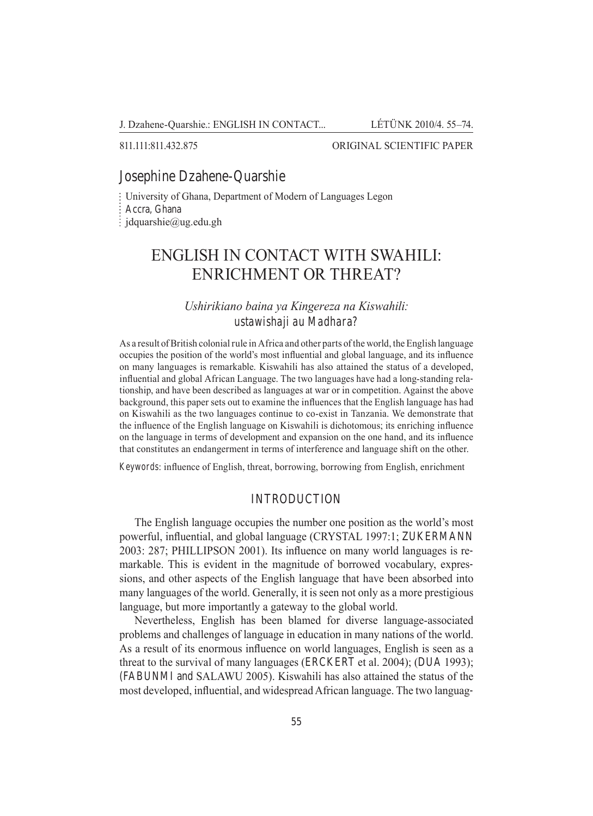J. Dzahene-Quarshie.: ENGLISH IN CONTACT... LÉTÜNK 2010/4. 55–74.

#### 811.111:811.432.875 ORIGINAL SCIENTIFIC PAPER

#### Josephine Dzahene-Quarshie

University of Ghana, Department of Modern of Languages Legon

Accra, Ghana

 $\frac{1}{2}$  jdquarshie@ug.edu.gh

# ENGLISH IN CONTACT WITH SWAHILI: ENRICHMENT OR THREAT?

## *Ushirikiano baina ya Kingereza na Kiswahili: ustawishaji au Madhara?*

As a result of British colonial rule in Africa and other parts of the world, the English language occupies the position of the world's most influential and global language, and its influence on many languages is remarkable. Kiswahili has also attained the status of a developed, influential and global African Language. The two languages have had a long-standing relationship, and have been described as languages at war or in competition. Against the above background, this paper sets out to examine the influences that the English language has had on Kiswahili as the two languages continue to co-exist in Tanzania. We demonstrate that the influence of the English language on Kiswahili is dichotomous; its enriching influence on the language in terms of development and expansion on the one hand, and its influence that constitutes an endangerment in terms of interference and language shift on the other.

*Keywords*: influence of English, threat, borrowing, borrowing from English, enrichment

#### **INTRODUCTION**

The English language occupies the number one position as the world's most powerful, influential, and global language (CRYSTAL 1997:1; ZUKERMANN 2003: 287; Phillipson 2001). Its influence on many world languages is remarkable. This is evident in the magnitude of borrowed vocabulary, expressions, and other aspects of the English language that have been absorbed into many languages of the world. Generally, it is seen not only as a more prestigious language, but more importantly a gateway to the global world.

Nevertheless, English has been blamed for diverse language-associated problems and challenges of language in education in many nations of the world. As a result of its enormous influence on world languages, English is seen as a threat to the survival of many languages (ERCKERT et al. 2004); (DUA 1993); (Fabunmi and Salawu 2005). Kiswahili has also attained the status of the most developed, influential, and widespread African language. The two languag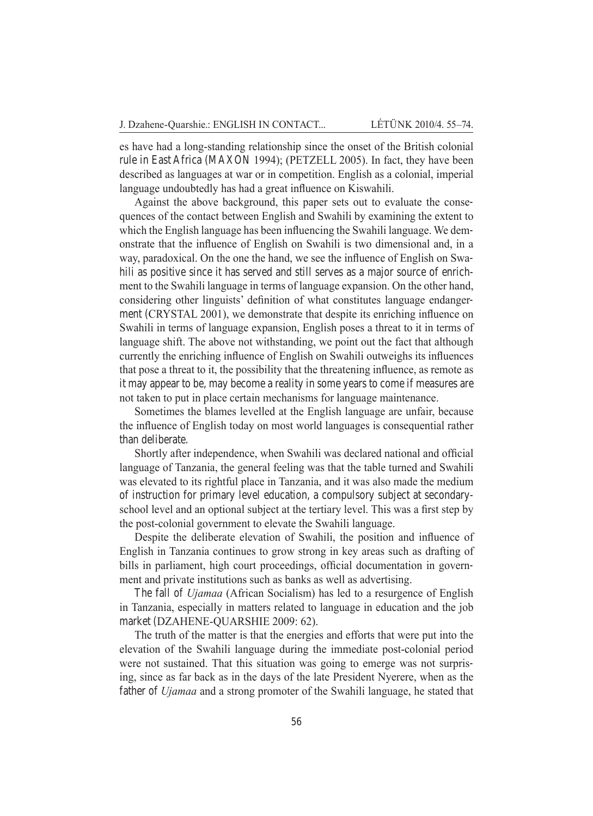es have had a long-standing relationship since the onset of the British colonial rule in East Africa (MAXON 1994); (PETZELL 2005). In fact, they have been described as languages at war or in competition. English as a colonial, imperial language undoubtedly has had a great influence on Kiswahili.

Against the above background, this paper sets out to evaluate the consequences of the contact between English and Swahili by examining the extent to which the English language has been influencing the Swahili language. We demonstrate that the influence of English on Swahili is two dimensional and, in a way, paradoxical. On the one the hand, we see the influence of English on Swahili as positive since it has served and still serves as a major source of enrichment to the Swahili language in terms of language expansion. On the other hand, considering other linguists' definition of what constitutes language endangerment (CRYSTAL 2001), we demonstrate that despite its enriching influence on Swahili in terms of language expansion, English poses a threat to it in terms of language shift. The above not withstanding, we point out the fact that although currently the enriching influence of English on Swahili outweighs its influences that pose a threat to it, the possibility that the threatening influence, as remote as it may appear to be, may become a reality in some years to come if measures are not taken to put in place certain mechanisms for language maintenance.

Sometimes the blames levelled at the English language are unfair, because the influence of English today on most world languages is consequential rather than deliberate.

Shortly after independence, when Swahili was declared national and official language of Tanzania, the general feeling was that the table turned and Swahili was elevated to its rightful place in Tanzania, and it was also made the medium of instruction for primary level education, a compulsory subject at secondaryschool level and an optional subject at the tertiary level. This was a first step by the post-colonial government to elevate the Swahili language.

Despite the deliberate elevation of Swahili, the position and influence of English in Tanzania continues to grow strong in key areas such as drafting of bills in parliament, high court proceedings, official documentation in government and private institutions such as banks as well as advertising.

The fall of *Ujamaa* (African Socialism) has led to a resurgence of English in Tanzania, especially in matters related to language in education and the job market (DZAHENE-QUARSHIE 2009: 62).

The truth of the matter is that the energies and efforts that were put into the elevation of the Swahili language during the immediate post-colonial period were not sustained. That this situation was going to emerge was not surprising, since as far back as in the days of the late President Nyerere, when as the father of *Ujamaa* and a strong promoter of the Swahili language, he stated that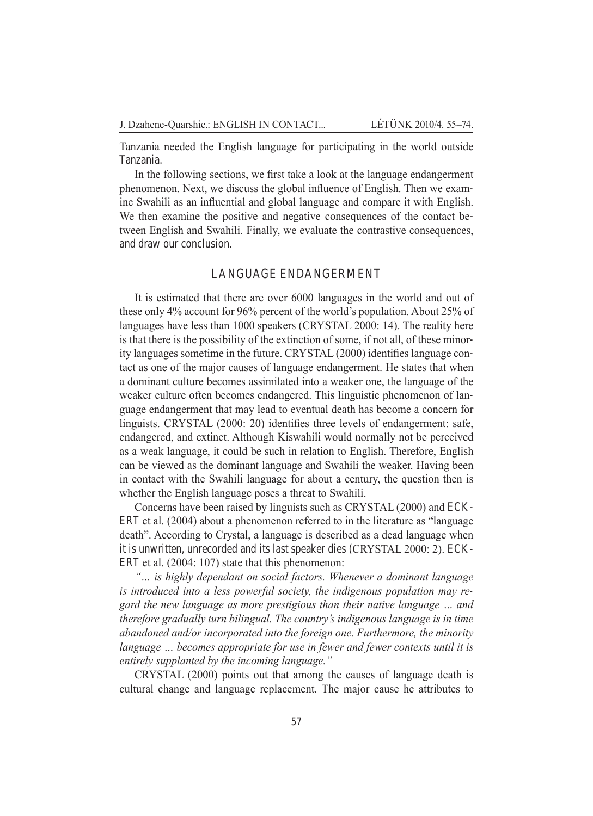Tanzania needed the English language for participating in the world outside Tanzania.

In the following sections, we first take a look at the language endangerment phenomenon. Next, we discuss the global influence of English. Then we examine Swahili as an influential and global language and compare it with English. We then examine the positive and negative consequences of the contact between English and Swahili. Finally, we evaluate the contrastive consequences, and draw our conclusion.

### Language Endangerment

It is estimated that there are over 6000 languages in the world and out of these only 4% account for 96% percent of the world's population. About 25% of languages have less than 1000 speakers (CRYSTAL 2000: 14). The reality here is that there is the possibility of the extinction of some, if not all, of these minority languages sometime in the future. CRYSTAL (2000) identifies language contact as one of the major causes of language endangerment. He states that when a dominant culture becomes assimilated into a weaker one, the language of the weaker culture often becomes endangered. This linguistic phenomenon of language endangerment that may lead to eventual death has become a concern for linguists. CRYSTAL (2000: 20) identifies three levels of endangerment: safe, endangered, and extinct. Although Kiswahili would normally not be perceived as a weak language, it could be such in relation to English. Therefore, English can be viewed as the dominant language and Swahili the weaker. Having been in contact with the Swahili language for about a century, the question then is whether the English language poses a threat to Swahili.

Concerns have been raised by linguists such as CRYSTAL (2000) and ECK-ERT et al.  $(2004)$  about a phenomenon referred to in the literature as "language" death". According to Crystal, a language is described as a dead language when it is unwritten, unrecorded and its last speaker dies (CRYSTAL 2000: 2). ECK-ERT et al.  $(2004: 107)$  state that this phenomenon:

*"… is highly dependant on social factors. Whenever a dominant language is introduced into a less powerful society, the indigenous population may regard the new language as more prestigious than their native language … and therefore gradually turn bilingual. The country's indigenous language is in time abandoned and/or incorporated into the foreign one. Furthermore, the minority language ... becomes appropriate for use in fewer and fewer contexts until it is entirely supplanted by the incoming language."*

CRYSTAL (2000) points out that among the causes of language death is cultural change and language replacement. The major cause he attributes to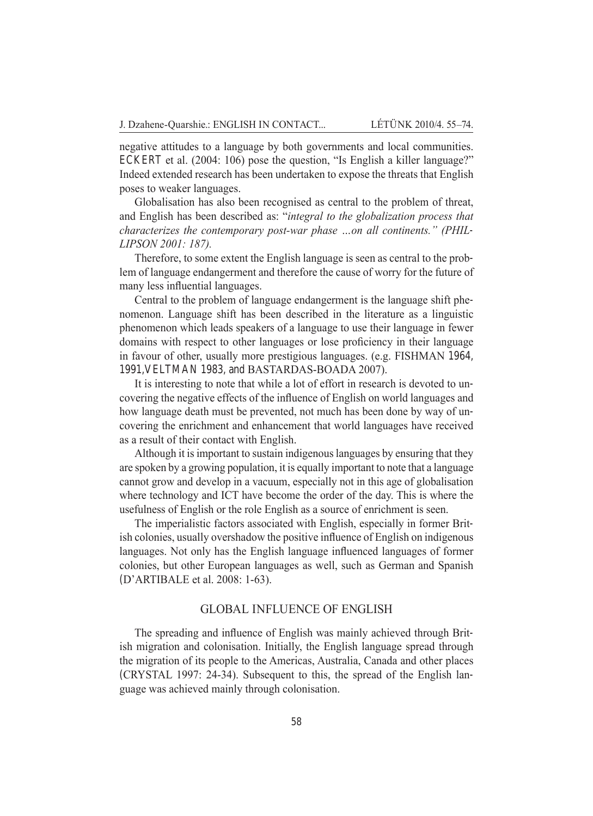negative attitudes to a language by both governments and local communities. ECKERT et al. (2004: 106) pose the question, "Is English a killer language?" Indeed extended research has been undertaken to expose the threats that English poses to weaker languages.

Globalisation has also been recognised as central to the problem of threat, and English has been described as: "*integral to the globalization process that characterizes the contemporary post-war phase …on all continents." (Phillipson 2001: 187).*

Therefore, to some extent the English language is seen as central to the problem of language endangerment and therefore the cause of worry for the future of many less influential languages.

Central to the problem of language endangerment is the language shift phenomenon. Language shift has been described in the literature as a linguistic phenomenon which leads speakers of a language to use their language in fewer domains with respect to other languages or lose proficiency in their language in favour of other, usually more prestigious languages. (e.g. FISHMAN 1964, 1991,Veltman 1983, and Bastardas-Boada 2007).

It is interesting to note that while a lot of effort in research is devoted to uncovering the negative effects of the influence of English on world languages and how language death must be prevented, not much has been done by way of uncovering the enrichment and enhancement that world languages have received as a result of their contact with English.

Although it is important to sustain indigenous languages by ensuring that they are spoken by a growing population, it is equally important to note that a language cannot grow and develop in a vacuum, especially not in this age of globalisation where technology and ICT have become the order of the day. This is where the usefulness of English or the role English as a source of enrichment is seen.

The imperialistic factors associated with English, especially in former British colonies, usually overshadow the positive influence of English on indigenous languages. Not only has the English language influenced languages of former colonies, but other European languages as well, such as German and Spanish (D'ARTIBALE et al. 2008: 1-63).

#### Global Influence of English

The spreading and influence of English was mainly achieved through British migration and colonisation. Initially, the English language spread through the migration of its people to the Americas, Australia, Canada and other places (CRYSTAL 1997: 24-34). Subsequent to this, the spread of the English language was achieved mainly through colonisation.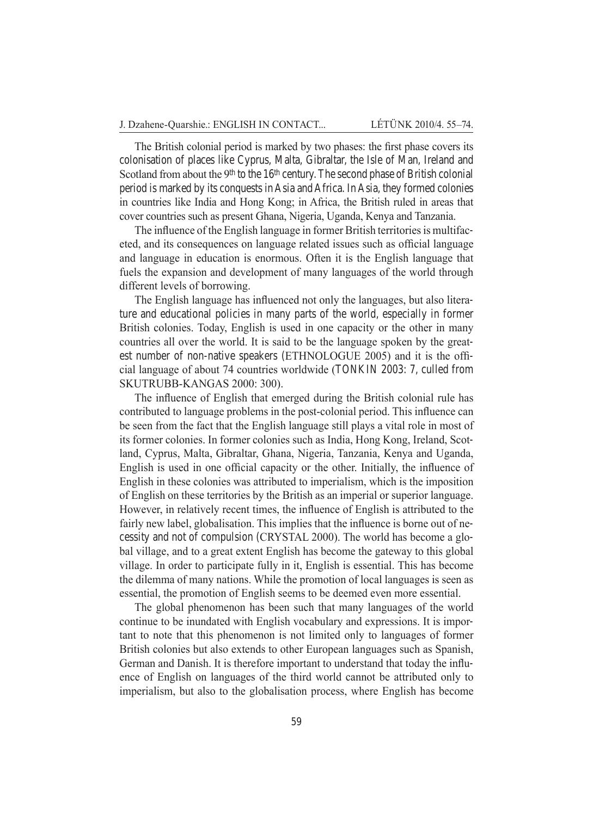The British colonial period is marked by two phases: the first phase covers its colonisation of places like Cyprus, Malta, Gibraltar, the Isle of Man, Ireland and Scotland from about the 9<sup>th</sup> to the 16<sup>th</sup> century. The second phase of British colonial period is marked by its conquests in Asia and Africa. In Asia, they formed colonies in countries like India and Hong Kong; in Africa, the British ruled in areas that cover countries such as present Ghana, Nigeria, Uganda, Kenya and Tanzania.

The influence of the English language in former British territories is multifaceted, and its consequences on language related issues such as official language and language in education is enormous. Often it is the English language that fuels the expansion and development of many languages of the world through different levels of borrowing.

The English language has influenced not only the languages, but also literature and educational policies in many parts of the world, especially in former British colonies. Today, English is used in one capacity or the other in many countries all over the world. It is said to be the language spoken by the greatest number of non-native speakers (ETHNOLOGUE 2005) and it is the official language of about 74 countries worldwide (Tonkin 2003: 7, culled from Skutrubb-Kangas 2000: 300).

The influence of English that emerged during the British colonial rule has contributed to language problems in the post-colonial period. This influence can be seen from the fact that the English language still plays a vital role in most of its former colonies. In former colonies such as India, Hong Kong, Ireland, Scotland, Cyprus, Malta, Gibraltar, Ghana, Nigeria, Tanzania, Kenya and Uganda, English is used in one official capacity or the other. Initially, the influence of English in these colonies was attributed to imperialism, which is the imposition of English on these territories by the British as an imperial or superior language. However, in relatively recent times, the influence of English is attributed to the fairly new label, globalisation. This implies that the influence is borne out of necessity and not of compulsion (CRYSTAL 2000). The world has become a global village, and to a great extent English has become the gateway to this global village. In order to participate fully in it, English is essential. This has become the dilemma of many nations. While the promotion of local languages is seen as essential, the promotion of English seems to be deemed even more essential.

The global phenomenon has been such that many languages of the world continue to be inundated with English vocabulary and expressions. It is important to note that this phenomenon is not limited only to languages of former British colonies but also extends to other European languages such as Spanish, German and Danish. It is therefore important to understand that today the influence of English on languages of the third world cannot be attributed only to imperialism, but also to the globalisation process, where English has become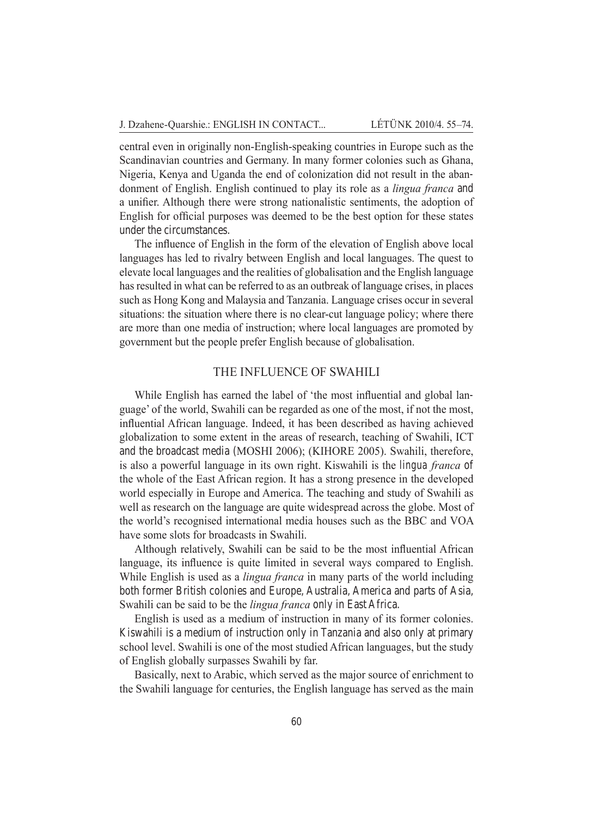central even in originally non-English-speaking countries in Europe such as the Scandinavian countries and Germany. In many former colonies such as Ghana, Nigeria, Kenya and Uganda the end of colonization did not result in the abandonment of English. English continued to play its role as a *lingua franca* and a unifier. Although there were strong nationalistic sentiments, the adoption of English for official purposes was deemed to be the best option for these states under the circumstances.

The influence of English in the form of the elevation of English above local languages has led to rivalry between English and local languages. The quest to elevate local languages and the realities of globalisation and the English language has resulted in what can be referred to as an outbreak of language crises, in places such as Hong Kong and Malaysia and Tanzania. Language crises occur in several situations: the situation where there is no clear-cut language policy; where there are more than one media of instruction; where local languages are promoted by government but the people prefer English because of globalisation.

#### The Influence of Swahili

While English has earned the label of 'the most influential and global language' of the world, Swahili can be regarded as one of the most, if not the most, influential African language. Indeed, it has been described as having achieved globalization to some extent in the areas of research, teaching of Swahili, ICT and the broadcast media (MOSHI 2006); (KIHORE 2005). Swahili, therefore, is also a powerful language in its own right. Kiswahili is the *lingua franca* of the whole of the East African region. It has a strong presence in the developed world especially in Europe and America. The teaching and study of Swahili as well as research on the language are quite widespread across the globe. Most of the world's recognised international media houses such as the BBC and VOA have some slots for broadcasts in Swahili.

Although relatively, Swahili can be said to be the most influential African language, its influence is quite limited in several ways compared to English. While English is used as a *lingua franca* in many parts of the world including both former British colonies and Europe, Australia, America and parts of Asia, Swahili can be said to be the *lingua franca* only in East Africa.

English is used as a medium of instruction in many of its former colonies. Kiswahili is a medium of instruction only in Tanzania and also only at primary school level. Swahili is one of the most studied African languages, but the study of English globally surpasses Swahili by far.

Basically, next to Arabic, which served as the major source of enrichment to the Swahili language for centuries, the English language has served as the main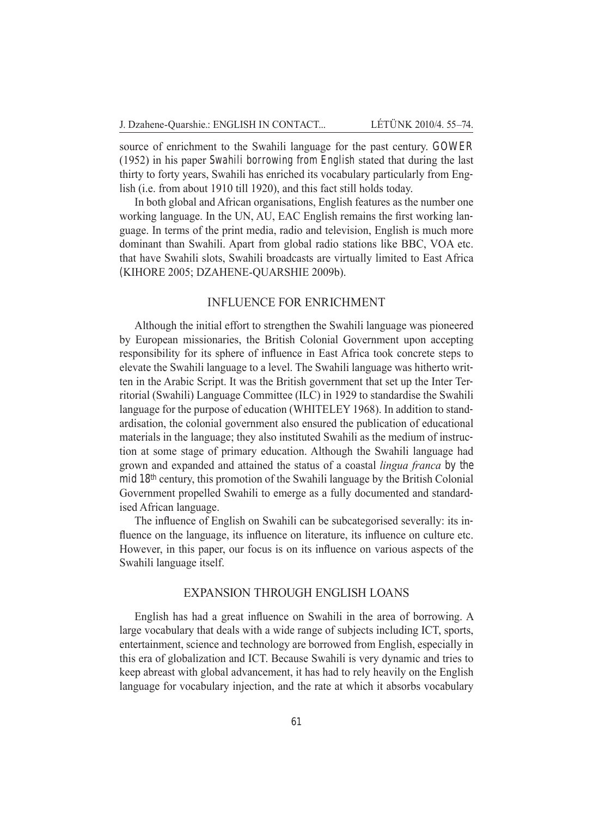source of enrichment to the Swahili language for the past century. GOWER (1952) in his paper *Swahili borrowing from English* stated that during the last thirty to forty years, Swahili has enriched its vocabulary particularly from English (i.e. from about 1910 till 1920), and this fact still holds today.

In both global and African organisations, English features as the number one working language. In the UN, AU, EAC English remains the first working language. In terms of the print media, radio and television, English is much more dominant than Swahili. Apart from global radio stations like BBC, VOA etc. that have Swahili slots, Swahili broadcasts are virtually limited to East Africa (Kihore 2005; Dzahene-Quarshie 2009b).

#### Influence for Enrichment

Although the initial effort to strengthen the Swahili language was pioneered by European missionaries, the British Colonial Government upon accepting responsibility for its sphere of influence in East Africa took concrete steps to elevate the Swahili language to a level. The Swahili language was hitherto written in the Arabic Script. It was the British government that set up the Inter Territorial (Swahili) Language Committee (ILC) in 1929 to standardise the Swahili language for the purpose of education (WHITELEY 1968). In addition to standardisation, the colonial government also ensured the publication of educational materials in the language; they also instituted Swahili as the medium of instruction at some stage of primary education. Although the Swahili language had grown and expanded and attained the status of a coastal *lingua franca* by the mid 18th century, this promotion of the Swahili language by the British Colonial Government propelled Swahili to emerge as a fully documented and standardised African language.

The influence of English on Swahili can be subcategorised severally: its influence on the language, its influence on literature, its influence on culture etc. However, in this paper, our focus is on its influence on various aspects of the Swahili language itself.

### Expansion through English Loans

English has had a great influence on Swahili in the area of borrowing. A large vocabulary that deals with a wide range of subjects including ICT, sports, entertainment, science and technology are borrowed from English, especially in this era of globalization and ICT. Because Swahili is very dynamic and tries to keep abreast with global advancement, it has had to rely heavily on the English language for vocabulary injection, and the rate at which it absorbs vocabulary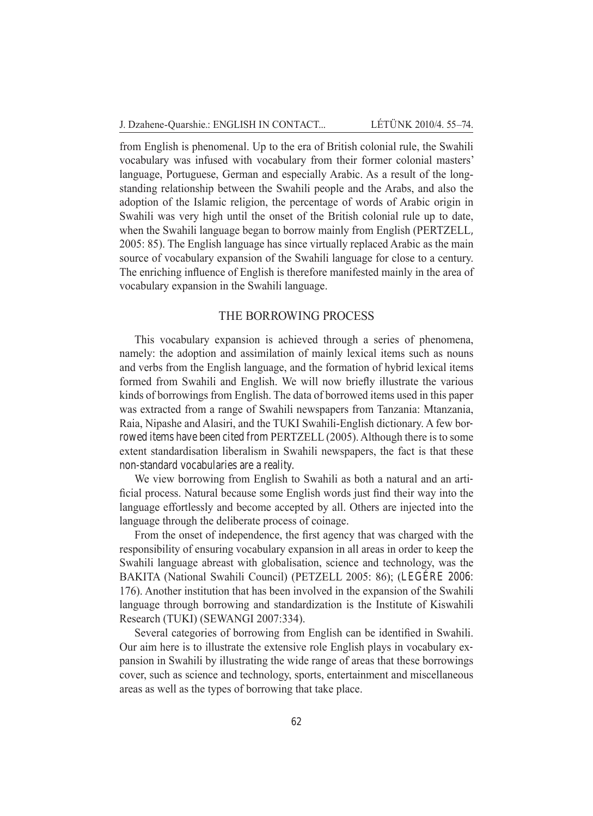from English is phenomenal. Up to the era of British colonial rule, the Swahili vocabulary was infused with vocabulary from their former colonial masters' language, Portuguese, German and especially Arabic. As a result of the longstanding relationship between the Swahili people and the Arabs, and also the adoption of the Islamic religion, the percentage of words of Arabic origin in Swahili was very high until the onset of the British colonial rule up to date, when the Swahili language began to borrow mainly from English (PERTZELL, 2005: 85). The English language has since virtually replaced Arabic as the main source of vocabulary expansion of the Swahili language for close to a century. The enriching influence of English is therefore manifested mainly in the area of vocabulary expansion in the Swahili language.

#### The Borrowing Process

This vocabulary expansion is achieved through a series of phenomena, namely: the adoption and assimilation of mainly lexical items such as nouns and verbs from the English language, and the formation of hybrid lexical items formed from Swahili and English. We will now briefly illustrate the various kinds of borrowings from English. The data of borrowed items used in this paper was extracted from a range of Swahili newspapers from Tanzania: Mtanzania, Raia, Nipashe and Alasiri, and the TUKI Swahili-English dictionary. A few borrowed items have been cited from PERTZELL (2005). Although there is to some extent standardisation liberalism in Swahili newspapers, the fact is that these non-standard vocabularies are a reality.

We view borrowing from English to Swahili as both a natural and an artificial process. Natural because some English words just find their way into the language effortlessly and become accepted by all. Others are injected into the language through the deliberate process of coinage.

From the onset of independence, the first agency that was charged with the responsibility of ensuring vocabulary expansion in all areas in order to keep the Swahili language abreast with globalisation, science and technology, was the BAKITA (National Swahili Council) (PETZELL 2005: 86); (LEGÉRE 2006: 176). Another institution that has been involved in the expansion of the Swahili language through borrowing and standardization is the Institute of Kiswahili Research (TUKI) (Sewangi 2007:334).

Several categories of borrowing from English can be identified in Swahili. Our aim here is to illustrate the extensive role English plays in vocabulary expansion in Swahili by illustrating the wide range of areas that these borrowings cover, such as science and technology, sports, entertainment and miscellaneous areas as well as the types of borrowing that take place.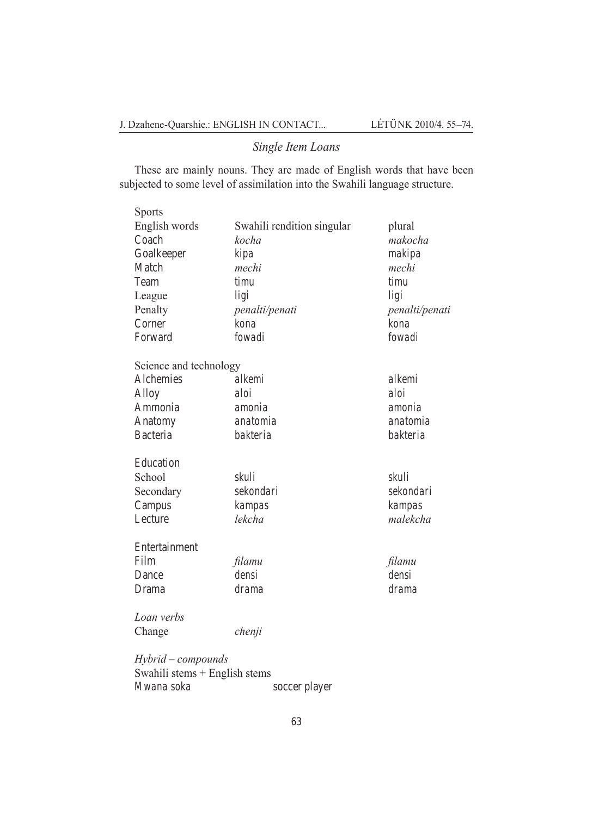## *Single Item Loans*

These are mainly nouns. They are made of English words that have been subjected to some level of assimilation into the Swahili language structure.

| <b>Sports</b>                 |                            |                |  |
|-------------------------------|----------------------------|----------------|--|
| English words                 | Swahili rendition singular | plural         |  |
| Coach<br>kocha                |                            | makocha        |  |
| Goalkeeper<br>kipa            |                            | makipa         |  |
| Match                         | mechi                      | mechi          |  |
| Team                          | timu                       | timu           |  |
| League                        | ligi                       | ligi           |  |
| Penalty                       | penalti/penati             | penalti/penati |  |
| Corner                        | kona                       | kona           |  |
| Forward                       | fowadi                     |                |  |
| Science and technology        |                            |                |  |
| Alchemies                     | alkemi                     | alkemi         |  |
| Alloy                         | aloi                       | aloi           |  |
| Ammonia                       | amonia                     | amonia         |  |
| anatomia<br>Anatomy           |                            | anatomia       |  |
| Bacteria                      | bakteria                   | bakteria       |  |
| Education                     |                            |                |  |
| School                        | skuli                      | skuli          |  |
| Secondary                     | sekondari                  | sekondari      |  |
| Campus                        | kampas                     | kampas         |  |
| Lecture                       | lekcha                     |                |  |
| Entertainment                 |                            |                |  |
| Film                          | filamu                     | filamu         |  |
| Dance                         | densi                      | densi          |  |
| Drama                         | drama                      | drama          |  |
| Loan verbs                    |                            |                |  |
| Change                        | chenji                     |                |  |
| Hybrid – compounds            |                            |                |  |
| Swahili stems + English stems |                            |                |  |

*Mwana soka* soccer player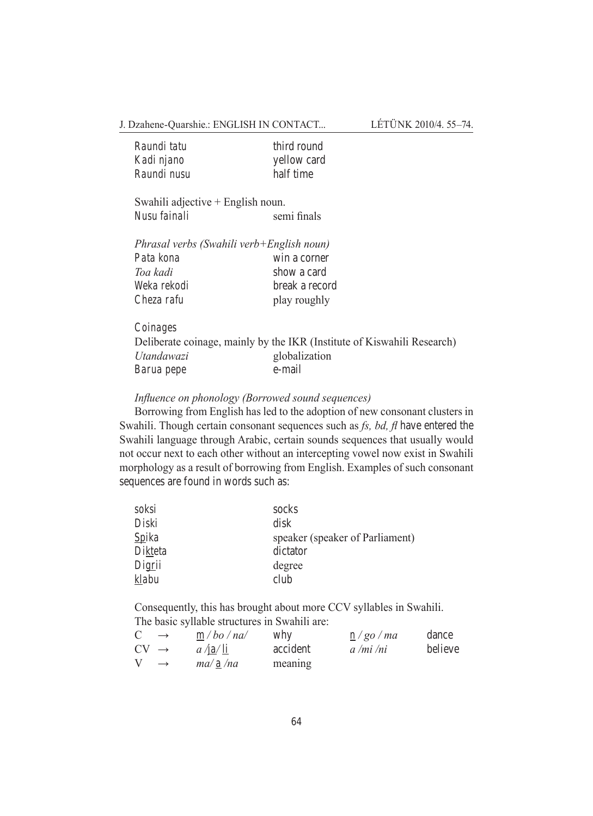J. Dzahene-Quarshie.: ENGLISH IN CONTACT... LÉTÜNK 2010/4. 55–74.

| Raundi tatu | third round |
|-------------|-------------|
| Kadi njano  | yellow card |
| Raundi nusu | half time   |

Swahili adjective + English noun. *Nusu fainali* semi finals

|             | Phrasal verbs (Swahili verb+English noun) |
|-------------|-------------------------------------------|
| Pata kona   | win a corner                              |
| Toa kadi    | show a card                               |
| Weka rekodi | break a record                            |
| Cheza rafu  | play roughly                              |

*Coinages* Deliberate coinage, mainly by the IKR (Institute of Kiswahili Research) *Utandawazi* globalization *Barua pepe* e-mail

*Influence on phonology (Borrowed sound sequences)*

Borrowing from English has led to the adoption of new consonant clusters in Swahili. Though certain consonant sequences such as *fs, bd, fl* have entered the Swahili language through Arabic, certain sounds sequences that usually would not occur next to each other without an intercepting vowel now exist in Swahili morphology as a result of borrowing from English. Examples of such consonant sequences are found in words such as:

| soksi        | socks                           |
|--------------|---------------------------------|
| Diski        | disk                            |
| <i>Spika</i> | speaker (speaker of Parliament) |
| Dikteta      | dictator                        |
| Digrii       | degree                          |
| klabu        | club                            |

Consequently, this has brought about more CCV syllables in Swahili. The basic syllable structures in Swahili are:

| C                | $\rightarrow$ | m / bo / na/ | why      | n/go/ma   | dance   |
|------------------|---------------|--------------|----------|-----------|---------|
| $CV \rightarrow$ |               | $a$ /ja/ li  | accident | a /mi /ni | believe |
|                  | $\rightarrow$ | ma/a/na      | meaning  |           |         |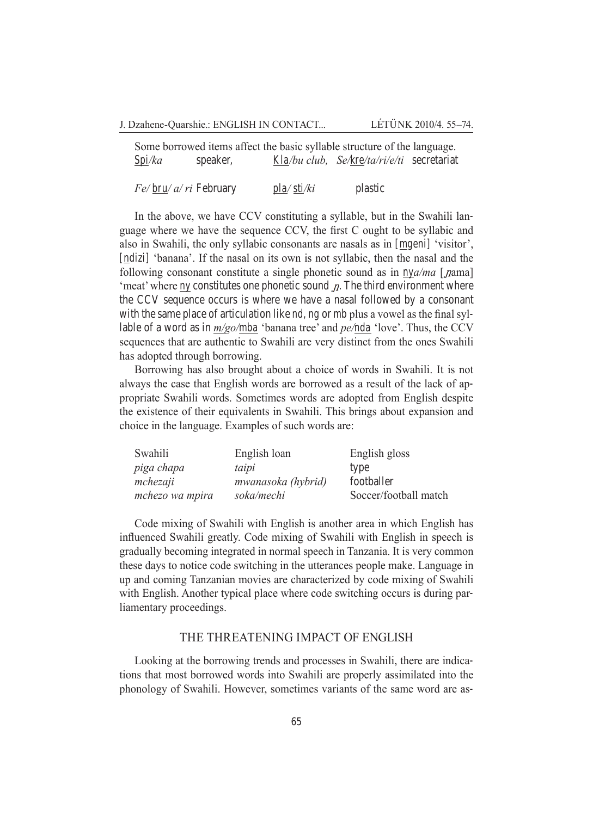J. Dzahene-Quarshie.: ENGLISH IN CONTACT... LÉTÜNK 2010/4. 55–74.

Some borrowed items affect the basic syllable structure of the language. *Spi/ka* speaker, *Kla/bu club, Se/kre/ta/ri/e/ti* secretariat

*Fe/ bru/ a/ ri* February *pla/ sti/ki* plastic

In the above, we have CCV constituting a syllable, but in the Swahili language where we have the sequence CCV, the first C ought to be syllabic and also in Swahili, the only syllabic consonants are nasals as in *[mgeni]* 'visitor', *[ndizi]* 'banana'. If the nasal on its own is not syllabic, then the nasal and the following consonant constitute a single phonetic sound as in  $nya/ma$  [*nama*] 'meat' where  $n\chi$  constitutes one phonetic sound  $n$ . The third environment where the CCV sequence occurs is where we have a nasal followed by a consonant with the same place of articulation like *nd, ng* or *mb* plus a vowel as the final syllable of a word as in *m/go/mba* 'banana tree' and *pe/nda* 'love'. Thus, the CCV sequences that are authentic to Swahili are very distinct from the ones Swahili has adopted through borrowing.

Borrowing has also brought about a choice of words in Swahili. It is not always the case that English words are borrowed as a result of the lack of appropriate Swahili words. Sometimes words are adopted from English despite the existence of their equivalents in Swahili. This brings about expansion and choice in the language. Examples of such words are:

| Swahili         | English loan       | English gloss         |
|-----------------|--------------------|-----------------------|
| piga chapa      | taipi              | type                  |
| mchezaji        | mwanasoka (hybrid) | footballer            |
| mchezo wa mpira | soka/mechi         | Soccer/football match |

Code mixing of Swahili with English is another area in which English has influenced Swahili greatly. Code mixing of Swahili with English in speech is gradually becoming integrated in normal speech in Tanzania. It is very common these days to notice code switching in the utterances people make. Language in up and coming Tanzanian movies are characterized by code mixing of Swahili with English. Another typical place where code switching occurs is during parliamentary proceedings.

#### The Threatening Impact of English

Looking at the borrowing trends and processes in Swahili, there are indications that most borrowed words into Swahili are properly assimilated into the phonology of Swahili. However, sometimes variants of the same word are as-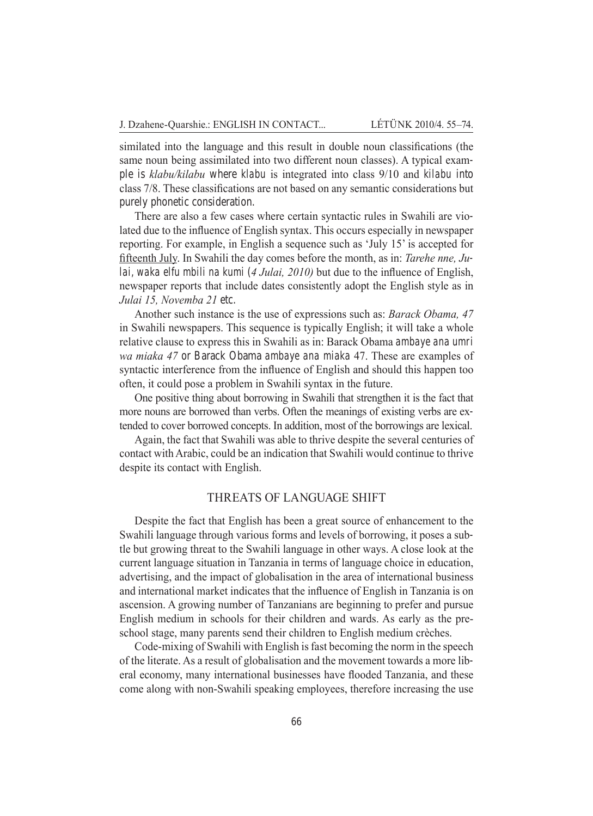similated into the language and this result in double noun classifications (the same noun being assimilated into two different noun classes). A typical example is *klabu/kilabu* where *klabu* is integrated into class 9/10 and *kilabu* into class 7/8. These classifications are not based on any semantic considerations but purely phonetic consideration.

There are also a few cases where certain syntactic rules in Swahili are violated due to the influence of English syntax. This occurs especially in newspaper reporting. For example, in English a sequence such as 'July 15' is accepted for fifteenth July. In Swahili the day comes before the month, as in: *Tarehe nne, Julai, waka elfu mbili na kumi* (*4 Julai, 2010)* but due to the influence of English, newspaper reports that include dates consistently adopt the English style as in *Julai 15, Novemba 21* etc.

Another such instance is the use of expressions such as: *Barack Obama, 47* in Swahili newspapers. This sequence is typically English; it will take a whole relative clause to express this in Swahili as in: Barack Obama *ambaye ana umri wa miaka 47* or Barack Obama *ambaye ana miaka* 47. These are examples of syntactic interference from the influence of English and should this happen too often, it could pose a problem in Swahili syntax in the future.

One positive thing about borrowing in Swahili that strengthen it is the fact that more nouns are borrowed than verbs. Often the meanings of existing verbs are extended to cover borrowed concepts. In addition, most of the borrowings are lexical.

Again, the fact that Swahili was able to thrive despite the several centuries of contact with Arabic, could be an indication that Swahili would continue to thrive despite its contact with English.

#### Threats of Language Shift

Despite the fact that English has been a great source of enhancement to the Swahili language through various forms and levels of borrowing, it poses a subtle but growing threat to the Swahili language in other ways. A close look at the current language situation in Tanzania in terms of language choice in education, advertising, and the impact of globalisation in the area of international business and international market indicates that the influence of English in Tanzania is on ascension. A growing number of Tanzanians are beginning to prefer and pursue English medium in schools for their children and wards. As early as the preschool stage, many parents send their children to English medium crèches.

Code-mixing of Swahili with English is fast becoming the norm in the speech of the literate. As a result of globalisation and the movement towards a more liberal economy, many international businesses have flooded Tanzania, and these come along with non-Swahili speaking employees, therefore increasing the use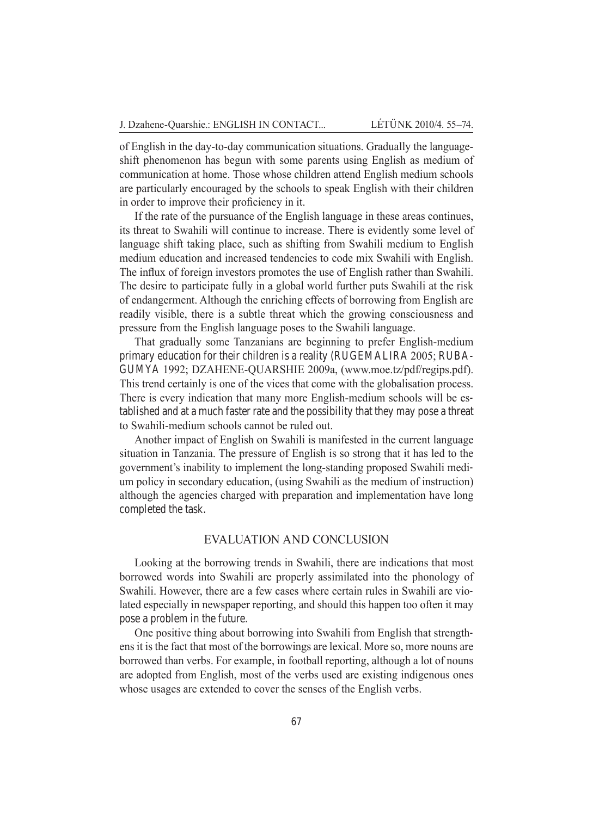of English in the day-to-day communication situations. Gradually the languageshift phenomenon has begun with some parents using English as medium of communication at home. Those whose children attend English medium schools are particularly encouraged by the schools to speak English with their children in order to improve their proficiency in it.

If the rate of the pursuance of the English language in these areas continues, its threat to Swahili will continue to increase. There is evidently some level of language shift taking place, such as shifting from Swahili medium to English medium education and increased tendencies to code mix Swahili with English. The influx of foreign investors promotes the use of English rather than Swahili. The desire to participate fully in a global world further puts Swahili at the risk of endangerment. Although the enriching effects of borrowing from English are readily visible, there is a subtle threat which the growing consciousness and pressure from the English language poses to the Swahili language.

That gradually some Tanzanians are beginning to prefer English-medium primary education for their children is a reality (RUGEMALIRA 2005; RUBAgumya 1992; Dzahene-Quarshie 2009a, (www.moe.tz/pdf/regips.pdf). This trend certainly is one of the vices that come with the globalisation process. There is every indication that many more English-medium schools will be established and at a much faster rate and the possibility that they may pose a threat to Swahili-medium schools cannot be ruled out.

Another impact of English on Swahili is manifested in the current language situation in Tanzania. The pressure of English is so strong that it has led to the government's inability to implement the long-standing proposed Swahili medium policy in secondary education, (using Swahili as the medium of instruction) although the agencies charged with preparation and implementation have long completed the task.

### Evaluation and Conclusion

Looking at the borrowing trends in Swahili, there are indications that most borrowed words into Swahili are properly assimilated into the phonology of Swahili. However, there are a few cases where certain rules in Swahili are violated especially in newspaper reporting, and should this happen too often it may pose a problem in the future.

One positive thing about borrowing into Swahili from English that strengthens it is the fact that most of the borrowings are lexical. More so, more nouns are borrowed than verbs. For example, in football reporting, although a lot of nouns are adopted from English, most of the verbs used are existing indigenous ones whose usages are extended to cover the senses of the English verbs.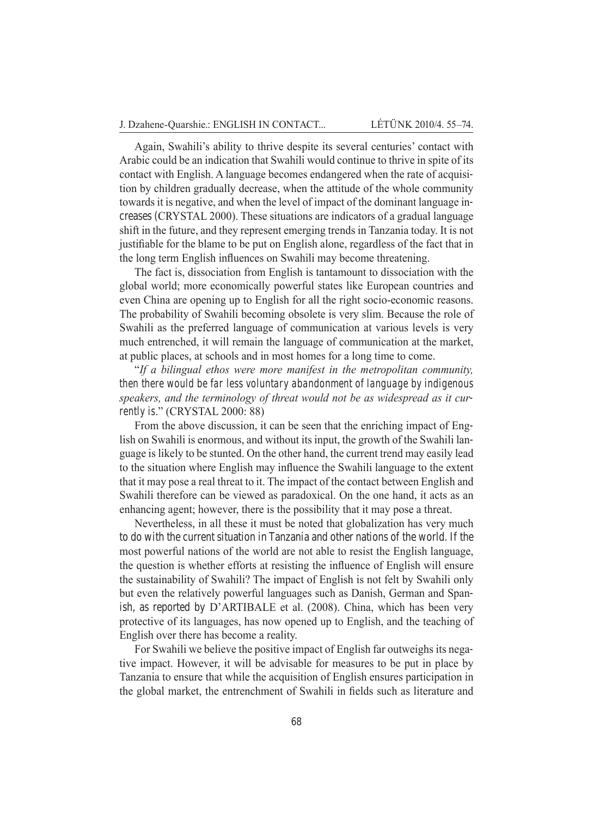Again, Swahili's ability to thrive despite its several centuries' contact with Arabic could be an indication that Swahili would continue to thrive in spite of its contact with English. A language becomes endangered when the rate of acquisition by children gradually decrease, when the attitude of the whole community towards it is negative, and when the level of impact of the dominant language increases (CRYSTAL 2000). These situations are indicators of a gradual language shift in the future, and they represent emerging trends in Tanzania today. It is not justifiable for the blame to be put on English alone, regardless of the fact that in the long term English influences on Swahili may become threatening.

The fact is, dissociation from English is tantamount to dissociation with the global world; more economically powerful states like European countries and even China are opening up to English for all the right socio-economic reasons. The probability of Swahili becoming obsolete is very slim. Because the role of Swahili as the preferred language of communication at various levels is very much entrenched, it will remain the language of communication at the market, at public places, at schools and in most homes for a long time to come.

"*If a bilingual ethos were more manifest in the metropolitan community, then there would be far less voluntary abandonment of language by indigenous speakers, and the terminology of threat would not be as widespread as it currently is.*" (CRYSTAL 2000: 88)

From the above discussion, it can be seen that the enriching impact of English on Swahili is enormous, and without its input, the growth of the Swahili language is likely to be stunted. On the other hand, the current trend may easily lead to the situation where English may influence the Swahili language to the extent that it may pose a real threat to it. The impact of the contact between English and Swahili therefore can be viewed as paradoxical. On the one hand, it acts as an enhancing agent; however, there is the possibility that it may pose a threat.

Nevertheless, in all these it must be noted that globalization has very much to do with the current situation in Tanzania and other nations of the world. If the most powerful nations of the world are not able to resist the English language, the question is whether efforts at resisting the influence of English will ensure the sustainability of Swahili? The impact of English is not felt by Swahili only but even the relatively powerful languages such as Danish, German and Spanish, as reported by D'ARTIBALE et al. (2008). China, which has been very protective of its languages, has now opened up to English, and the teaching of English over there has become a reality.

For Swahili we believe the positive impact of English far outweighs its negative impact. However, it will be advisable for measures to be put in place by Tanzania to ensure that while the acquisition of English ensures participation in the global market, the entrenchment of Swahili in fields such as literature and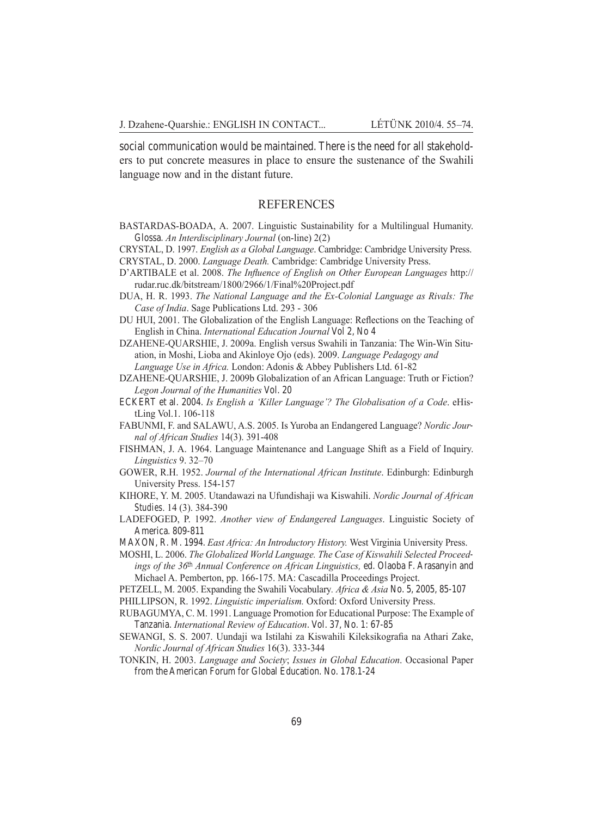social communication would be maintained. There is the need for all stakeholders to put concrete measures in place to ensure the sustenance of the Swahili language now and in the distant future.

#### **REFERENCES**

- BASTARDAS-BOADA, A. 2007. Linguistic Sustainability for a Multilingual Humanity. Glossa. *An Interdisciplinary Journal* (on-line) 2(2)
- CRYSTAL, D. 1997. *English as a Global Language*. Cambridge: Cambridge University Press.
- CRYSTAL, D. 2000. *Language Death.* Cambridge: Cambridge University Press.
- D'ARTIBALE et al. 2008. *The Influence of English on Other European Languages* http:// rudar.ruc.dk/bitstream/1800/2966/1/Final%20Project.pdf
- DUA, H. R. 1993. *The National Language and the Ex-Colonial Language as Rivals: The Case of India*. Sage Publications Ltd. 293 - 306
- DU HUI, 2001. The Globalization of the English Language: Reflections on the Teaching of English in China. *International Education Journal* Vol 2, No 4
- DZAHENE-QUARSHIE, J. 2009a. English versus Swahili in Tanzania: The Win-Win Situation, in Moshi, Lioba and Akinloye Ojo (eds). 2009. *Language Pedagogy and Language Use in Africa.* London: Adonis & Abbey Publishers Ltd. 61-82
- DZAHENE-QUARSHIE, J. 2009b Globalization of an African Language: Truth or Fiction? *Legon Journal of the Humanities* Vol. 20
- ECKERT et al. 2004. *Is English a 'Killer Language'? The Globalisation of a Code*. eHistLing Vol.1. 106-118
- FABUNMI, F. and SALAWU, A.S. 2005. Is Yuroba an Endangered Language? *Nordic Journal of African Studies* 14(3). 391-408
- FISHMAN, J. A. 1964. Language Maintenance and Language Shift as a Field of Inquiry. *Linguistics* 9. 32–70
- GOWER, R.H. 1952. *Journal of the International African Institute*. Edinburgh: Edinburgh University Press. 154-157
- KIHORE, Y. M. 2005. Utandawazi na Ufundishaji wa Kiswahili. *Nordic Journal of African Studies*. 14 (3). 384-390
- LADEFOGED, P. 1992. *Another view of Endangered Languages*. Linguistic Society of America. 809-811
- MAXON, R. M. 1994. *East Africa: An Introductory History.* West Virginia University Press.
- MOSHI, L. 2006. *The Globalized World Language. The Case of Kiswahili Selected Proceedings of the 36th Annual Conference on African Linguistics,* ed. Olaoba F. Arasanyin and Michael A. Pemberton, pp. 166-175. MA: Cascadilla Proceedings Project.
- PETZELL, M. 2005. Expanding the Swahili Vocabulary*. Africa & Asia* No. 5, 2005, 85-107
- PHILLIPSON, R. 1992. *Linguistic imperialism.* Oxford: Oxford University Press.
- RUBAGUMYA, C. M. 1991. Language Promotion for Educational Purpose: The Example of Tanzania. *International Review of Education*. Vol. 37, No. 1: 67-85
- SEWANGI, S. S. 2007. Uundaji wa Istilahi za Kiswahili Kileksikografia na Athari Zake, *Nordic Journal of African Studies* 16(3). 333-344
- TONKIN, H. 2003. *Language and Society*; *Issues in Global Education*. Occasional Paper from the American Forum for Global Education. No. 178.1-24